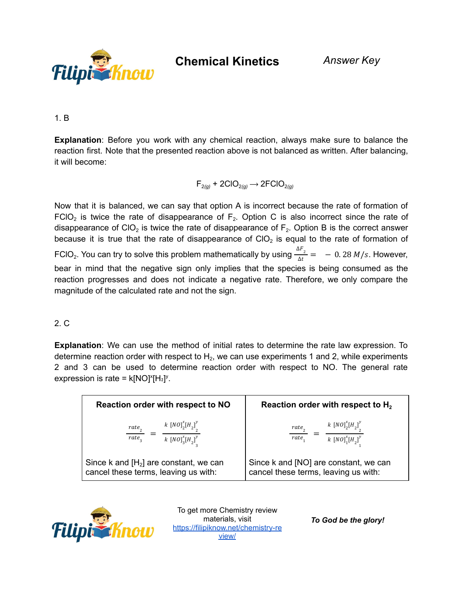

**Chemical Kinetics** *Answer Key*

1. B

**Explanation**: Before you work with any chemical reaction, always make sure to balance the reaction first. Note that the presented reaction above is not balanced as written. After balancing, it will become:

$$
F_{2(g)} + 2ClO_{2(g)} \longrightarrow 2FCIO_{2(g)}
$$

Now that it is balanced, we can say that option A is incorrect because the rate of formation of FCIO<sub>2</sub> is twice the rate of disappearance of  $F_2$ . Option C is also incorrect since the rate of disappearance of CIO<sub>2</sub> is twice the rate of disappearance of  $F_2$ . Option B is the correct answer because it is true that the rate of disappearance of CIO<sub>2</sub> is equal to the rate of formation of FCIO<sub>2</sub>. You can try to solve this problem mathematically by using  $\frac{\Delta F_2}{\Delta t} = -0.28 M/s$ . However, bear in mind that the negative sign only implies that the species is being consumed as the reaction progresses and does not indicate a negative rate. Therefore, we only compare the magnitude of the calculated rate and not the sign.

### 2. C

**Explanation**: We can use the method of initial rates to determine the rate law expression. To determine reaction order with respect to  $H_2$ , we can use experiments 1 and 2, while experiments 2 and 3 can be used to determine reaction order with respect to NO. The general rate expression is rate =  $k[NO]^x[H_2]^y$ .

| Reaction order with respect to NO        | Reaction order with respect to $H_2$  |
|------------------------------------------|---------------------------------------|
| $k [NO]_{2}^{x}[H_{2}]_{2}^{y}$          | $k [NO]_{2}^{x}[H_{2}]_{2}^{y}$       |
| rate,                                    | $rate$ <sub>3</sub>                   |
| rate <sub>3</sub>                        | rate <sub>1</sub>                     |
| $k [NO]_3^x [H_2]^y$                     | $k [NO]_1^x [H_2]^y$                  |
| Since k and $[H_2]$ are constant, we can | Since k and [NO] are constant, we can |
| cancel these terms, leaving us with:     | cancel these terms, leaving us with:  |



To get more Chemistry review materials, visit [https://filipiknow.net/chemistry-re](https://filipiknow.net/chemistry-review/) [view/](https://filipiknow.net/chemistry-review/)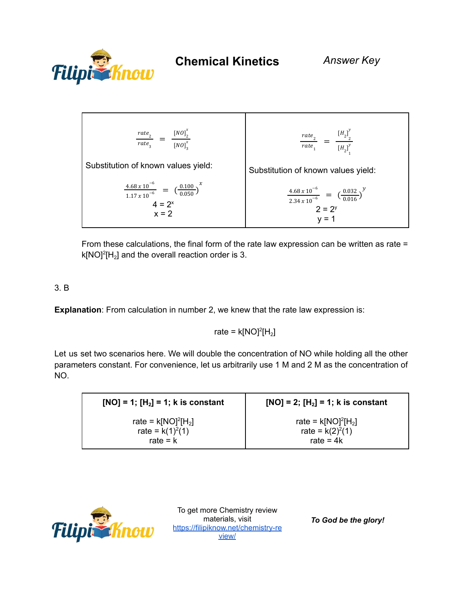



From these calculations, the final form of the rate law expression can be written as rate =  $k[NO]^2[H_2]$  and the overall reaction order is 3.

# 3. B

**Explanation**: From calculation in number 2, we knew that the rate law expression is:

## rate =  $k[NO]^2[H_2]$

Let us set two scenarios here. We will double the concentration of NO while holding all the other parameters constant. For convenience, let us arbitrarily use 1 M and 2 M as the concentration of NO.

| $[NO] = 1; [H2] = 1; k is constant$ | $[NO] = 2$ ; $[H2] = 1$ ; k is constant |
|-------------------------------------|-----------------------------------------|
| rate = $k[NO]^2[H_2]$               | rate = $k[NO]^2[H_2]$                   |
| rate = $k(1)^2(1)$                  | rate = $k(2)^{2}(1)$                    |
| rate $= k$                          | rate = $4k$                             |



To get more Chemistry review materials, visit [https://filipiknow.net/chemistry-re](https://filipiknow.net/chemistry-review/) [view/](https://filipiknow.net/chemistry-review/)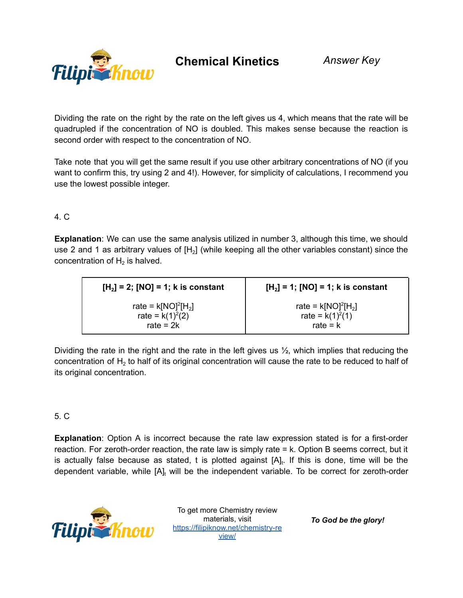

**Chemical Kinetics** *Answer Key*

Dividing the rate on the right by the rate on the left gives us 4, which means that the rate will be quadrupled if the concentration of NO is doubled. This makes sense because the reaction is second order with respect to the concentration of NO.

Take note that you will get the same result if you use other arbitrary concentrations of NO (if you want to confirm this, try using 2 and 4!). However, for simplicity of calculations, I recommend you use the lowest possible integer.

## 4. C

**Explanation**: We can use the same analysis utilized in number 3, although this time, we should use 2 and 1 as arbitrary values of  $[H_2]$  (while keeping all the other variables constant) since the concentration of  $H_2$  is halved.

| $[H2] = 2$ ; [NO] = 1; k is constant | $[H_2] = 1$ ; [NO] = 1; k is constant |
|--------------------------------------|---------------------------------------|
| rate = $k[NO]^2[H_2]$                | rate = $k[NO]^2[H_2]$                 |
| rate = $k(1)^2(2)$                   | rate = $k(1)^2(1)$                    |
| rate = $2k$                          | rate $= k$                            |

Dividing the rate in the right and the rate in the left gives us  $\frac{1}{2}$ , which implies that reducing the concentration of  $\mathsf{H}_2$  to half of its original concentration will cause the rate to be reduced to half of its original concentration.

## 5. C

**Explanation**: Option A is incorrect because the rate law expression stated is for a first-order reaction. For zeroth-order reaction, the rate law is simply rate = k. Option B seems correct, but it is actually false because as stated, t is plotted against  $[A]_t$ . If this is done, time will be the dependent variable, while  $[A]_t$  will be the independent variable. To be correct for zeroth-order



To get more Chemistry review materials, visit [https://filipiknow.net/chemistry-re](https://filipiknow.net/chemistry-review/) [view/](https://filipiknow.net/chemistry-review/)